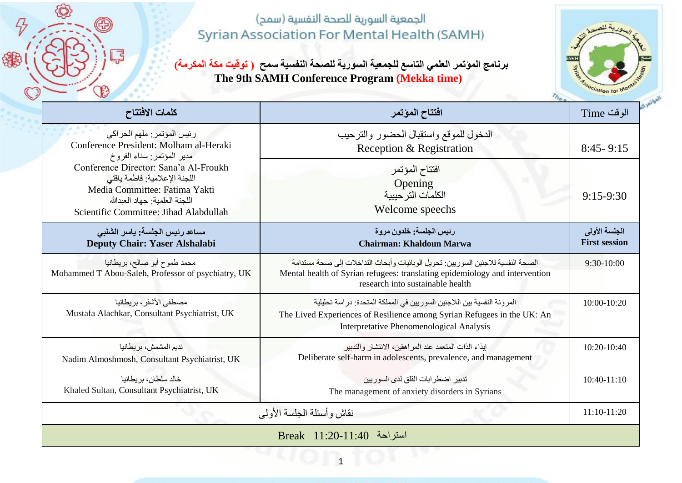6

锦

궇

**برنامج المؤتمر العلمي التاسع للجمعية السورية للصحة النفسية سمح ) توقيت مكة المكرمة( The 9th SAMH Conference Program (Mekka time)**



| كلمات الافتتاح                                                                                                                                                                                                                                                                           | افتتاح المؤتمر                                                                                                                                                                                      | الوقت Time                            |  |  |
|------------------------------------------------------------------------------------------------------------------------------------------------------------------------------------------------------------------------------------------------------------------------------------------|-----------------------------------------------------------------------------------------------------------------------------------------------------------------------------------------------------|---------------------------------------|--|--|
| رئيس المؤتمر: ملهم الحراكي<br>Conference President: Molham al-Heraki<br>مدير المؤتمر: سناء الفروخ<br>Conference Director: Sana'a Al-Froukh<br>اللجنة الإعلامية: فاطمة ياقتى<br>Media Committee: Fatima Yakti<br>اللجنة العلمبة: جهاد العبدالله<br>Scientific Committee: Jihad Alabdullah | الدخول للموقع واستقبال الحضور والترحيب<br>Reception & Registration                                                                                                                                  | $8:45 - 9:15$                         |  |  |
|                                                                                                                                                                                                                                                                                          | افتتاح المؤتمر<br>Opening<br>الكلمات التر حيبية<br>Welcome speechs                                                                                                                                  | $9:15-9:30$                           |  |  |
| مساعد رئيس الجلسة: ياسر الشلبي<br>Deputy Chair: Yaser Alshalabi                                                                                                                                                                                                                          | رئيس الجلسة: خلدون مروة<br><b>Chairman: Khaldoun Marwa</b>                                                                                                                                          | الجلسة الأولى<br><b>First session</b> |  |  |
| محمد طموح أبو صالح، بريطانيا<br>Mohammed T Abou-Saleh, Professor of psychiatry, UK                                                                                                                                                                                                       | الصحة النفسية للاجئين السوريين: تحويل الوبائيات وأبحاث التداخلات إلى صحة مستدامة<br>Mental health of Syrian refugees: translating epidemiology and intervention<br>research into sustainable health | $9:30-10:00$                          |  |  |
| مصطفى الأشقر ، بر يطانيا<br>Mustafa Alachkar, Consultant Psychiatrist, UK                                                                                                                                                                                                                | المر ونة النفسية بين اللاجئين السوريين في المملكة المتحدة: در اسة تحليلية<br>The Lived Experiences of Resilience among Syrian Refugees in the UK: An<br>Interpretative Phenomenological Analysis    | 10:00-10:20                           |  |  |
| نديم المشمش، بريطانيا<br>Nadim Almoshmosh, Consultant Psychiatrist, UK                                                                                                                                                                                                                   | إيذاء الذات المتعمد عند المر اهقين، الانتشار والتدبير<br>Deliberate self-harm in adolescents, prevalence, and management                                                                            | 10:20-10:40                           |  |  |
| خالد سلطان، بر يطانيا<br>Khaled Sultan, Consultant Psychiatrist, UK                                                                                                                                                                                                                      | تدبير اضطر ابات القلق لدى السور بين<br>The management of anxiety disorders in Syrians                                                                                                               | $10:40-11:10$                         |  |  |
|                                                                                                                                                                                                                                                                                          | نقاش و أسئلة الجلسة الأولى                                                                                                                                                                          | 11:10-11:20                           |  |  |
| استراحة Break 11:20-11:40                                                                                                                                                                                                                                                                |                                                                                                                                                                                                     |                                       |  |  |

11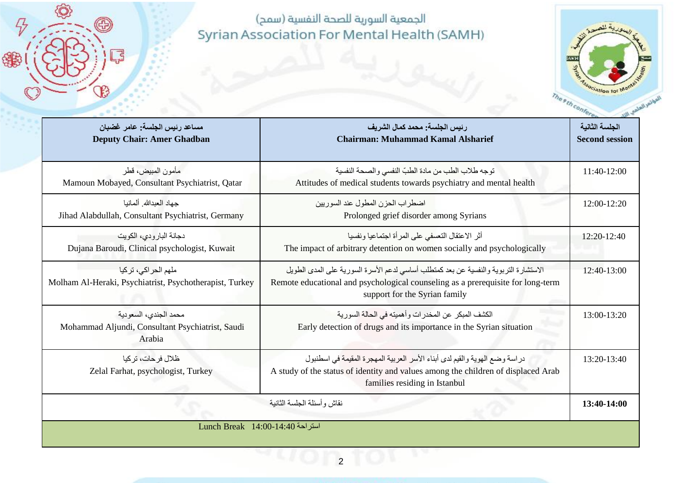O)

Ð

Ę

 $\mathcal{F}$ 

\$



| مساعد رئيس الجلسة: عامر غضبان<br><b>Deputy Chair: Amer Ghadban</b>                  | ر نيس الجلسة: محمد كمال الشر يف<br><b>Chairman: Muhammad Kamal Alsharief</b>                                                                                                                             | الجلسة الثانبة<br><b>Second session</b> |
|-------------------------------------------------------------------------------------|----------------------------------------------------------------------------------------------------------------------------------------------------------------------------------------------------------|-----------------------------------------|
| مأمون المبيض، قطر<br>Mamoun Mobayed, Consultant Psychiatrist, Qatar                 | توجه طلاب الطب من مادة الطبّ النفسي والصحة النفسية<br>Attitudes of medical students towards psychiatry and mental health                                                                                 | 11:40-12:00                             |
| حهاد العدالله ألمانيا<br>Jihad Alabdullah, Consultant Psychiatrist, Germany         | اضطر اب الحز ن المطول عند السور بين<br>Prolonged grief disorder among Syrians                                                                                                                            | 12:00-12:20                             |
| دجانة البارودي، الكويت<br>Dujana Baroudi, Clinical psychologist, Kuwait             | أثر الاعتقال التعسفي على المرأة اجتماعيا ونفسيا<br>The impact of arbitrary detention on women socially and psychologically                                                                               | 12:20-12:40                             |
| ملهم الحر اكى، تركيا<br>Molham Al-Heraki, Psychiatrist, Psychotherapist, Turkey     | الاستشارة التربوية والنفسية عن بعد كمنطلب أساسي لدعم الأسرة السورية على المدى الطويل<br>Remote educational and psychological counseling as a prerequisite for long-term<br>support for the Syrian family | 12:40-13:00                             |
| محمد الجندي، السعودية<br>Mohammad Aljundi, Consultant Psychiatrist, Saudi<br>Arabia | الكشف المبكر ٍ عن المخدر ات و أهميته في الحالة السور ية<br>Early detection of drugs and its importance in the Syrian situation                                                                           | 13:00-13:20                             |
| ظلال فرحات، تركيا<br>Zelal Farhat, psychologist, Turkey                             | در اسة وضع الهوية والقيم لدى أبناء الأسر العربية المهجرة المقيمة في اسطنبول<br>A study of the status of identity and values among the children of displaced Arab<br>families residing in Istanbul        | 13:20-13:40                             |
|                                                                                     | نقاش وأسئلة الجلسة الثانية                                                                                                                                                                               | 13:40-14:00                             |
| استراحة 14:00-14:40 Lunch Break                                                     |                                                                                                                                                                                                          |                                         |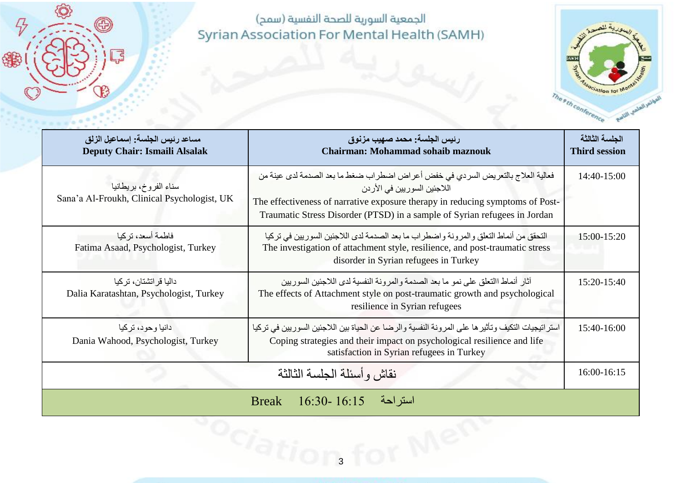O)

⊕

Ę

 $\mathcal{F}$ 

锦



| مساعد رئيس الجلسة: إسماعيل الزلق<br>Deputy Chair: Ismaili Alsalak   | رئيس الجلسة: محمد صهيب مزنوق<br><b>Chairman: Mohammad sohaib maznouk</b>                                                                                                                                                                                                       | الجلسة الثالثة<br><b>Third session</b> |
|---------------------------------------------------------------------|--------------------------------------------------------------------------------------------------------------------------------------------------------------------------------------------------------------------------------------------------------------------------------|----------------------------------------|
| سناء الفروخ بريطانيا<br>Sana'a Al-Froukh, Clinical Psychologist, UK | فعالية العلاج بالتعريض السردي في خفض أعراض اضطراب ضغط ما بعد الصدمة لدى عينة من<br>اللاجئين السور يين في الأر دن<br>The effectiveness of narrative exposure therapy in reducing symptoms of Post-<br>Traumatic Stress Disorder (PTSD) in a sample of Syrian refugees in Jordan | $14:40-15:00$                          |
| فاطمة أسعد، تر كبا<br>Fatima Asaad, Psychologist, Turkey            | التحقق من أنماط التعلق والمرونة واضطراب ما بعد الصدمة لدى اللاجئين السوريين في تركيا<br>The investigation of attachment style, resilience, and post-traumatic stress<br>disorder in Syrian refugees in Turkey                                                                  | 15:00-15:20                            |
| داليا قر اتشتان، تركيا<br>Dalia Karatashtan, Psychologist, Turkey   | آثار أنماط االنعلق على نمو ما بعد الصدمة والمرونة النفسية لدى اللاجئين السوريين<br>The effects of Attachment style on post-traumatic growth and psychological<br>resilience in Syrian refugees                                                                                 | 15:20-15:40                            |
| دانيا وحود، تركيا<br>Dania Wahood, Psychologist, Turkey             | استر اتيجيات التكيف وتأثير ها على المرونة النفسية والرضا عن الحياة بين اللاجئين السوريين في تركيا<br>Coping strategies and their impact on psychological resilience and life<br>satisfaction in Syrian refugees in Turkey                                                      | $15:40-16:00$                          |
|                                                                     | نقاش وأسئلة الجلسة الثالثة                                                                                                                                                                                                                                                     | 16:00-16:15                            |
|                                                                     | Break 16:30-16:15<br>استر احة                                                                                                                                                                                                                                                  |                                        |